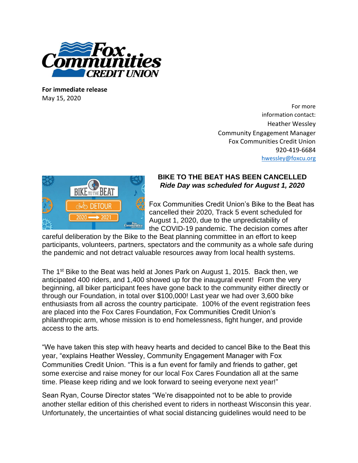

**For immediate release** May 15, 2020

For more information contact: Heather Wessley Community Engagement Manager Fox Communities Credit Union 920-419-6684 [hwessley@foxcu.org](mailto:hwessley@foxcu.org)



## **BIKE TO THE BEAT HAS BEEN CANCELLED** *Ride Day was scheduled for August 1, 2020*

Fox Communities Credit Union's Bike to the Beat has cancelled their 2020, Track 5 event scheduled for August 1, 2020, due to the unpredictability of the COVID-19 pandemic. The decision comes after

careful deliberation by the Bike to the Beat planning committee in an effort to keep participants, volunteers, partners, spectators and the community as a whole safe during the pandemic and not detract valuable resources away from local health systems.

The 1<sup>st</sup> Bike to the Beat was held at Jones Park on August 1, 2015. Back then, we anticipated 400 riders, and 1,400 showed up for the inaugural event! From the very beginning, all biker participant fees have gone back to the community either directly or through our Foundation, in total over \$100,000! Last year we had over 3,600 bike enthusiasts from all across the country participate. 100% of the event registration fees are placed into the Fox Cares Foundation, Fox Communities Credit Union's philanthropic arm, whose mission is to end homelessness, fight hunger, and provide access to the arts.

"We have taken this step with heavy hearts and decided to cancel Bike to the Beat this year, "explains Heather Wessley, Community Engagement Manager with Fox Communities Credit Union. "This is a fun event for family and friends to gather, get some exercise and raise money for our local Fox Cares Foundation all at the same time. Please keep riding and we look forward to seeing everyone next year!"

Sean Ryan, Course Director states "We're disappointed not to be able to provide another stellar edition of this cherished event to riders in northeast Wisconsin this year. Unfortunately, the uncertainties of what social distancing guidelines would need to be